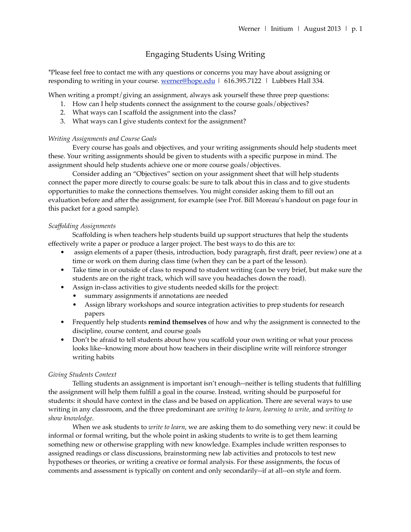# Engaging Students Using Writing

\*Please feel free to contact me with any questions or concerns you may have about assigning or responding to writing in your course. [werner@hope.edu](mailto:werner@hope.edu) | 616.395.7122 | Lubbers Hall 334.

When writing a prompt/giving an assignment, always ask yourself these three prep questions:

- 1. How can I help students connect the assignment to the course goals/objectives?
- 2. What ways can I scaffold the assignment into the class?
- 3. What ways can I give students context for the assignment?

### *Writing Assignments and Course Goals*

Every course has goals and objectives, and your writing assignments should help students meet these. Your writing assignments should be given to students with a specific purpose in mind. The assignment should help students achieve one or more course goals/objectives.

Consider adding an "Objectives" section on your assignment sheet that will help students connect the paper more directly to course goals: be sure to talk about this in class and to give students opportunities to make the connections themselves. You might consider asking them to fill out an evaluation before and after the assignment, for example (see Prof. Bill Moreau's handout on page four in this packet for a good sample).

### *Scaffolding Assignments*

Scaffolding is when teachers help students build up support structures that help the students effectively write a paper or produce a larger project. The best ways to do this are to:

- assign elements of a paper (thesis, introduction, body paragraph, first draft, peer review) one at a time or work on them during class time (when they can be a part of the lesson).
- Take time in or outside of class to respond to student writing (can be very brief, but make sure the students are on the right track, which will save you headaches down the road).
- Assign in-class activities to give students needed skills for the project:
	- summary assignments if annotations are needed
	- Assign library workshops and source integration activities to prep students for research papers
- Frequently help students **remind themselves** of how and why the assignment is connected to the discipline, course content, and course goals
- Don't be afraid to tell students about how you scaffold your own writing or what your process looks like--knowing more about how teachers in their discipline write will reinforce stronger writing habits

### *Giving Students Context*

Telling students an assignment is important isn't enough--neither is telling students that fulfilling the assignment will help them fulfill a goal in the course. Instead, writing should be purposeful for students: it should have context in the class and be based on application. There are several ways to use writing in any classroom, and the three predominant are *writing to learn, learning to write,* and *writing to show knowledge*.

When we ask students to *write to learn*, we are asking them to do something very new: it could be informal or formal writing, but the whole point in asking students to write is to get them learning something new or otherwise grappling with new knowledge. Examples include written responses to assigned readings or class discussions, brainstorming new lab activities and protocols to test new hypotheses or theories, or writing a creative or formal analysis. For these assignments, the focus of comments and assessment is typically on content and only secondarily--if at all--on style and form.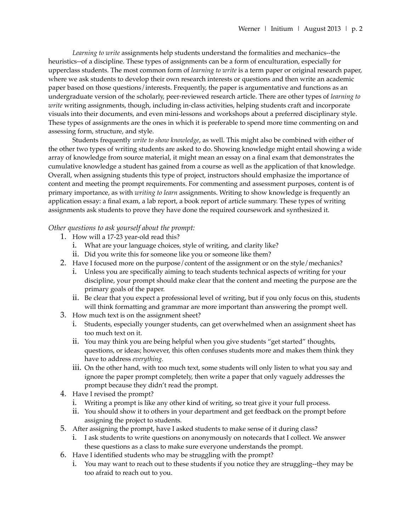*Learning to write* assignments help students understand the formalities and mechanics--the heuristics--of a discipline. These types of assignments can be a form of enculturation, especially for upperclass students. The most common form of *learning to write* is a term paper or original research paper, where we ask students to develop their own research interests or questions and then write an academic paper based on those questions/interests. Frequently, the paper is argumentative and functions as an undergraduate version of the scholarly, peer-reviewed research article. There are other types of *learning to write* writing assignments, though, including in-class activities, helping students craft and incorporate visuals into their documents, and even mini-lessons and workshops about a preferred disciplinary style. These types of assignments are the ones in which it is preferable to spend more time commenting on and assessing form, structure, and style.

Students frequently *write to show knowledge*, as well. This might also be combined with either of the other two types of writing students are asked to do. Showing knowledge might entail showing a wide array of knowledge from source material, it might mean an essay on a final exam that demonstrates the cumulative knowledge a student has gained from a course as well as the application of that knowledge. Overall, when assigning students this type of project, instructors should emphasize the importance of content and meeting the prompt requirements. For commenting and assessment purposes, content is of primary importance, as with *writing to learn* assignments. Writing to show knowledge is frequently an application essay: a final exam, a lab report, a book report of article summary. These types of writing assignments ask students to prove they have done the required coursework and synthesized it.

## *Other questions to ask yourself about the prompt:*

- 1. How will a 17-23 year-old read this?
	- i. What are your language choices, style of writing, and clarity like?
	- ii. Did you write this for someone like you or someone like them?
- 2. Have I focused more on the purpose/content of the assignment or on the style/mechanics?
	- i. Unless you are specifically aiming to teach students technical aspects of writing for your discipline, your prompt should make clear that the content and meeting the purpose are the primary goals of the paper.
	- ii. Be clear that you expect a professional level of writing, but if you only focus on this, students will think formatting and grammar are more important than answering the prompt well.
- 3. How much text is on the assignment sheet?
	- i. Students, especially younger students, can get overwhelmed when an assignment sheet has too much text on it.
	- ii. You may think you are being helpful when you give students "get started" thoughts, questions, or ideas; however, this often confuses students more and makes them think they have to address *everything.*
	- iii. On the other hand, with too much text, some students will only listen to what you say and ignore the paper prompt completely, then write a paper that only vaguely addresses the prompt because they didn't read the prompt.
- 4. Have I revised the prompt?
	- i. Writing a prompt is like any other kind of writing, so treat give it your full process.
	- ii. You should show it to others in your department and get feedback on the prompt before assigning the project to students.
- 5. After assigning the prompt, have I asked students to make sense of it during class?
	- i. I ask students to write questions on anonymously on notecards that I collect. We answer these questions as a class to make sure everyone understands the prompt.
- 6. Have I identified students who may be struggling with the prompt?
	- i. You may want to reach out to these students if you notice they are struggling--they may be too afraid to reach out to you.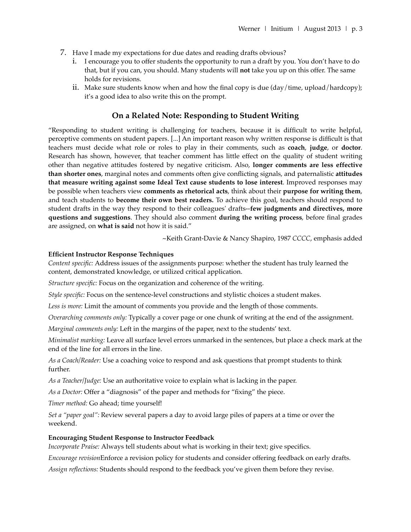- 7. Have I made my expectations for due dates and reading drafts obvious?
	- i. I encourage you to offer students the opportunity to run a draft by you. You don't have to do that, but if you can, you should. Many students will **not** take you up on this offer. The same holds for revisions.
	- ii. Make sure students know when and how the final copy is due (day/time, upload/hardcopy); it's a good idea to also write this on the prompt.

# **On a Related Note: Responding to Student Writing**

"Responding to student writing is challenging for teachers, because it is difficult to write helpful, perceptive comments on student papers. [...] An important reason why written response is difficult is that teachers must decide what role or roles to play in their comments, such as **coach**, **judge**, or **doctor**. Research has shown, however, that teacher comment has little effect on the quality of student writing other than negative attitudes fostered by negative criticism. Also, **longer comments are less effective than shorter ones**, marginal notes and comments often give conflicting signals, and paternalistic **attitudes that measure writing against some Ideal Text cause students to lose interest**. Improved responses may be possible when teachers view **comments as rhetorical acts**, think about their **purpose for writing them**, and teach students to **become their own best readers.** To achieve this goal, teachers should respond to student drafts in the way they respond to their colleagues' drafts--**few judgments and directives, more questions and suggestions**. They should also comment **during the writing process**, before final grades are assigned, on **what is said** not how it is said."

~Keith Grant-Davie & Nancy Shapiro, 1987 *CCCC*, emphasis added

## **Efficient Instructor Response Techniques**

*Content specific:* Address issues of the assignments purpose: whether the student has truly learned the content, demonstrated knowledge, or utilized critical application.

*Structure specific:* Focus on the organization and coherence of the writing.

*Style specific:* Focus on the sentence-level constructions and stylistic choices a student makes.

*Less is more:* Limit the amount of comments you provide and the length of those comments.

*Overarching comments only:* Typically a cover page or one chunk of writing at the end of the assignment.

*Marginal comments only:* Left in the margins of the paper, next to the students' text.

*Minimalist marking:* Leave all surface level errors unmarked in the sentences, but place a check mark at the end of the line for all errors in the line.

*As a Coach/Reader:* Use a coaching voice to respond and ask questions that prompt students to think further.

*As a Teacher/Judge:* Use an authoritative voice to explain what is lacking in the paper.

*As a Doctor:* Offer a "diagnosis" of the paper and methods for "fixing" the piece.

*Timer method:* Go ahead; time yourself!

*Set a "paper goal":* Review several papers a day to avoid large piles of papers at a time or over the weekend.

# **Encouraging Student Response to Instructor Feedback**

*Incorporate Praise:* Always tell students about what is working in their text; give specifics.

*Encourage revision*Enforce a revision policy for students and consider offering feedback on early drafts.

*Assign reflections:* Students should respond to the feedback you've given them before they revise.